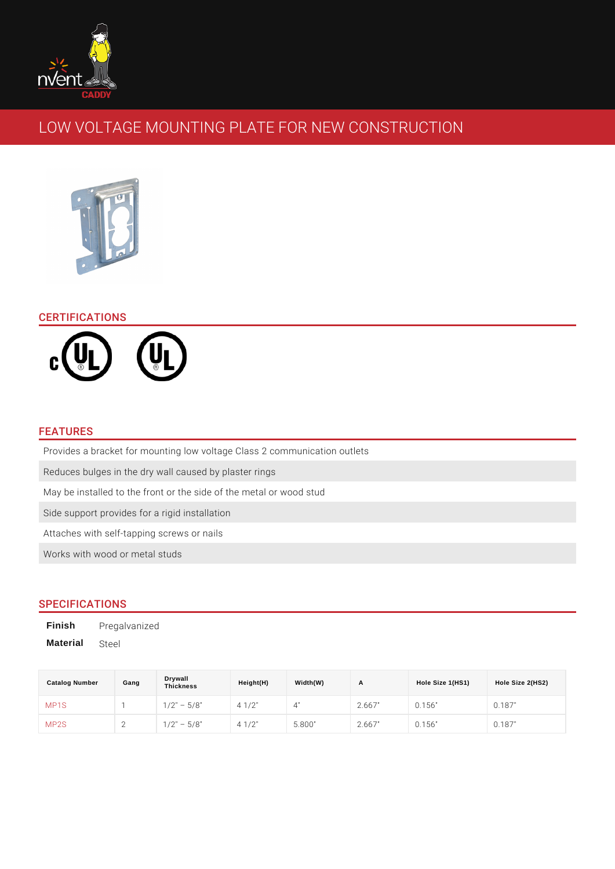# LOW VOLTAGE MOUNTING PLATE FOR NEW CONSTR

## CERTIFICATIONS

#### FEATURES

Provides a bracket for mounting low voltage Class 2 communication outlets Reduces bulges in the dry wall caused by plaster rings May be installed to the front or the side of the metal or wood stud Side support provides for a rigid installation Attaches with self-tapping screws or nails Works with wood or metal studs

### SPECIFICATIONS

Finish Pregalvanized Material Steel

| Catalog Number    | Gang | Drywall<br><b>Thickness</b> | Height(H)       | Width(W)     | $\mathsf{A}$ | Hole Size 1(HS1) | Hole Size 2(HS2) |
|-------------------|------|-----------------------------|-----------------|--------------|--------------|------------------|------------------|
| MP <sub>1</sub> S |      | $1/2$ "<br>$5/8$ "          | $4 \frac{1}{2}$ | $\mathbf{4}$ | 2.667"       | 0.156"           | 0.187"           |
| MP2S              |      | $1/2$ "<br>$5/8$ "          | $4 \frac{1}{2}$ | 5.800"       | 2.667"       | 0.156"           | 0.187"           |